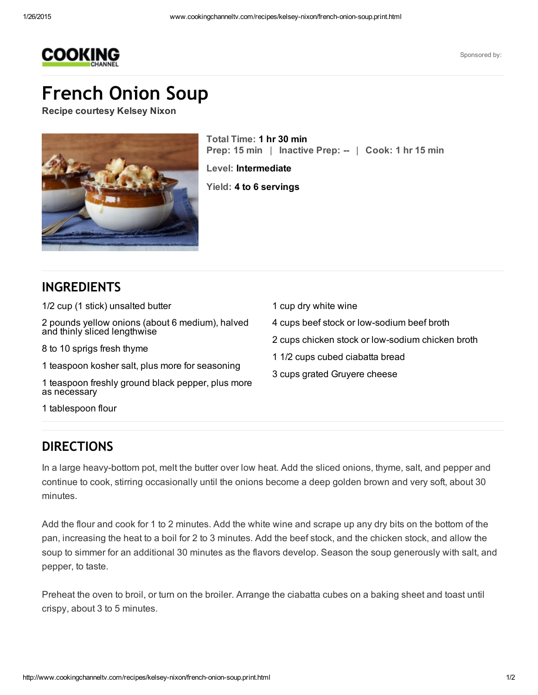

Sponsored by:

## French Onion Soup

Recipe courtesy Kelsey Nixon



Total Time: 1 hr 30 min Prep: 15 min | Inactive Prep: -- | Cook: 1 hr 15 min

1 cup dry white wine

4 cups beef stock or low-sodium beef broth

1 1/2 cups cubed ciabatta bread

3 cups grated Gruyere cheese

2 cups chicken stock or low-sodium chicken broth

Level: Intermediate

Yield: 4 to 6 servings

## INGREDIENTS

1/2 cup (1 stick) unsalted butter

2 pounds yellow onions (about 6 medium), halved and thinly sliced lengthwise

8 to 10 sprigs fresh thyme

1 teaspoon kosher salt, plus more for seasoning

1 teaspoon freshly ground black pepper, plus more as necessary

1 tablespoon flour

## DIRECTIONS

In a large heavy-bottom pot, melt the butter over low heat. Add the sliced onions, thyme, salt, and pepper and continue to cook, stirring occasionally until the onions become a deep golden brown and very soft, about 30 minutes.

Add the flour and cook for 1 to 2 minutes. Add the white wine and scrape up any dry bits on the bottom of the pan, increasing the heat to a boil for 2 to 3 minutes. Add the beef stock, and the chicken stock, and allow the soup to simmer for an additional 30 minutes as the flavors develop. Season the soup generously with salt, and pepper, to taste.

Preheat the oven to broil, or turn on the broiler. Arrange the ciabatta cubes on a baking sheet and toast until crispy, about 3 to 5 minutes.